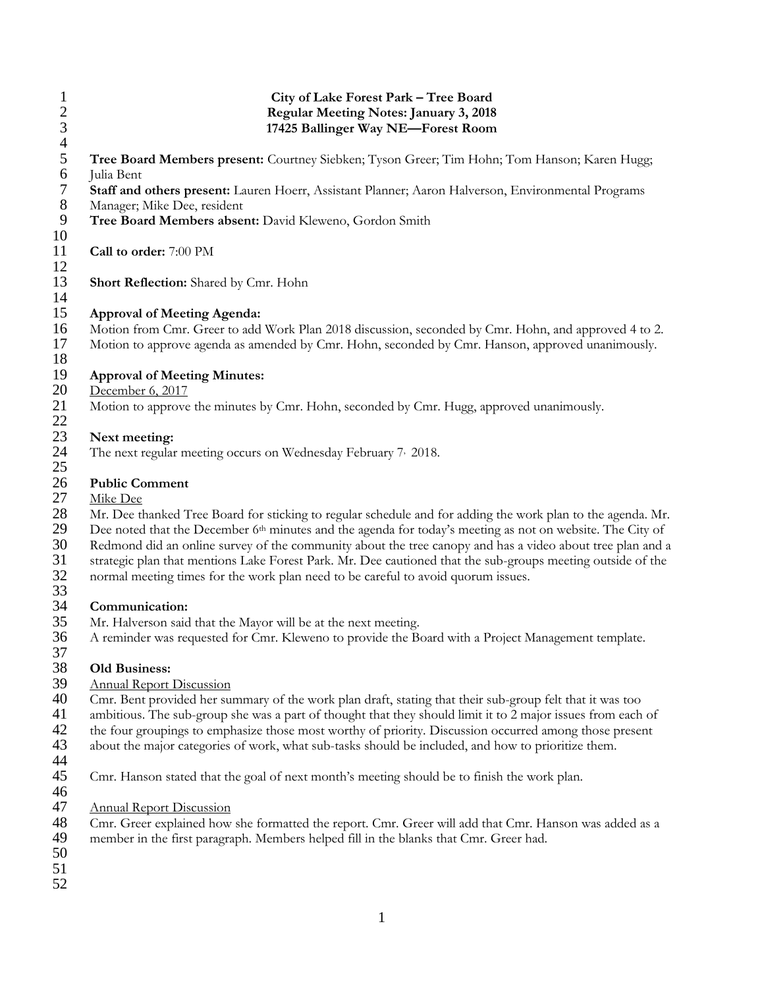| $\mathbf{1}$<br>$\frac{2}{3}$<br>$\overline{4}$ | City of Lake Forest Park - Tree Board<br>Regular Meeting Notes: January 3, 2018<br>17425 Ballinger Way NE-Forest Room                                                                                    |
|-------------------------------------------------|----------------------------------------------------------------------------------------------------------------------------------------------------------------------------------------------------------|
| 5<br>6                                          | Tree Board Members present: Courtney Siebken; Tyson Greer; Tim Hohn; Tom Hanson; Karen Hugg;<br>Julia Bent                                                                                               |
| $\boldsymbol{7}$                                | Staff and others present: Lauren Hoerr, Assistant Planner; Aaron Halverson, Environmental Programs                                                                                                       |
| $8\phantom{1}$<br>9                             | Manager; Mike Dee, resident<br>Tree Board Members absent: David Kleweno, Gordon Smith                                                                                                                    |
| 10<br>11<br>12                                  | Call to order: 7:00 PM                                                                                                                                                                                   |
| 13<br>14                                        | <b>Short Reflection:</b> Shared by Cmr. Hohn                                                                                                                                                             |
| 15                                              | <b>Approval of Meeting Agenda:</b>                                                                                                                                                                       |
| 16<br>17<br>18                                  | Motion from Cmr. Greer to add Work Plan 2018 discussion, seconded by Cmr. Hohn, and approved 4 to 2.<br>Motion to approve agenda as amended by Cmr. Hohn, seconded by Cmr. Hanson, approved unanimously. |
| 19                                              | <b>Approval of Meeting Minutes:</b>                                                                                                                                                                      |
| 20                                              | December 6, 2017                                                                                                                                                                                         |
| 21<br>22                                        | Motion to approve the minutes by Cmr. Hohn, seconded by Cmr. Hugg, approved unanimously.                                                                                                                 |
| 23                                              | Next meeting:                                                                                                                                                                                            |
| 24<br>25                                        | The next regular meeting occurs on Wednesday February 7, 2018.                                                                                                                                           |
| 26                                              | <b>Public Comment</b>                                                                                                                                                                                    |
| 27                                              | Mike Dee                                                                                                                                                                                                 |
| 28                                              | Mr. Dee thanked Tree Board for sticking to regular schedule and for adding the work plan to the agenda. Mr.                                                                                              |
| 29                                              | Dee noted that the December 6 <sup>th</sup> minutes and the agenda for today's meeting as not on website. The City of                                                                                    |
| 30                                              | Redmond did an online survey of the community about the tree canopy and has a video about tree plan and a                                                                                                |
| 31                                              | strategic plan that mentions Lake Forest Park. Mr. Dee cautioned that the sub-groups meeting outside of the                                                                                              |
| 32<br>33                                        | normal meeting times for the work plan need to be careful to avoid quorum issues.                                                                                                                        |
| 34                                              | Communication:                                                                                                                                                                                           |
| 35                                              | Mr. Halverson said that the Mayor will be at the next meeting.                                                                                                                                           |
| 36<br>37                                        | A reminder was requested for Cmr. Kleweno to provide the Board with a Project Management template.                                                                                                       |
| 38                                              | <b>Old Business:</b>                                                                                                                                                                                     |
| 39                                              | <b>Annual Report Discussion</b>                                                                                                                                                                          |
| 40                                              | Cmr. Bent provided her summary of the work plan draft, stating that their sub-group felt that it was too                                                                                                 |
| 41                                              | ambitious. The sub-group she was a part of thought that they should limit it to 2 major issues from each of                                                                                              |
| 42                                              | the four groupings to emphasize those most worthy of priority. Discussion occurred among those present                                                                                                   |
| 43<br>44                                        | about the major categories of work, what sub-tasks should be included, and how to prioritize them.                                                                                                       |
| 45<br>46                                        | Cmr. Hanson stated that the goal of next month's meeting should be to finish the work plan.                                                                                                              |
| 47                                              | <b>Annual Report Discussion</b>                                                                                                                                                                          |
| 48<br>49<br>50                                  | Cmr. Greer explained how she formatted the report. Cmr. Greer will add that Cmr. Hanson was added as a<br>member in the first paragraph. Members helped fill in the blanks that Cmr. Greer had.          |
| 51<br>52                                        |                                                                                                                                                                                                          |